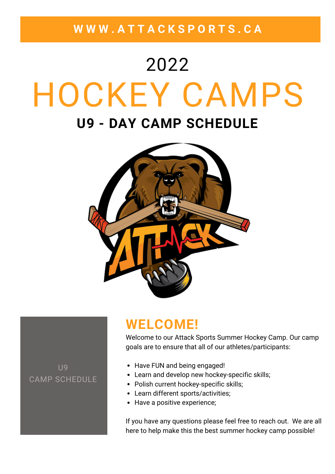**W W W . A T T A C K S P O R T S . C A**

# HOCKEY CAMPS **U9 - DAY CAMP SCHEDULE** 2022



### **WELCOME!**

Welcome to our Attack Sports Summer Hockey Camp. Our camp goals are to ensure that all of our athletes/participants:

U9 CAMP SCHEDULE

- Have FUN and being engaged!
- Learn and develop new hockey-specific skills;
- Polish current hockey-specific skills;
- Learn different sports/activities;
- Have a positive experience;

If you have any questions please feel free to reach out. We are all here to help make this the best summer hockey camp possible!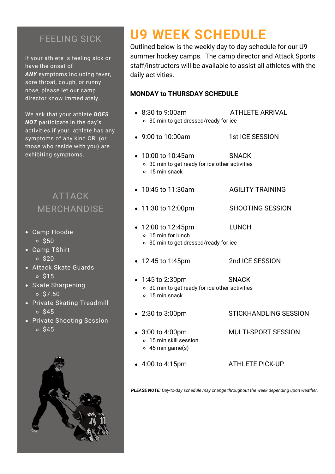### FEELING SICK

If your athlete is feeling sick or have the onset of *ANY* symptoms including fever, sore throat, cough, or runny nose, please let our camp director know immediately.

We ask that your athlete *DOES NOT* participate in the day's activities if your athlete has any symptoms of any kind OR (or those who reside with you) are exhibiting symptoms.

### ATTACK MERCHANDISE

- Camp Hoodie  $\circ$  \$50
- Camp TShirt  $\circ$  \$20
- Attack Skate Guards  $0$  \$15
- Skate Sharpening  $0.57.50$
- Private Skating Treadmill  $0<sup>545</sup>$
- Private Shooting Session  $0<sup>545</sup>$



# **U9 WEEK SCHEDULE**

Outlined below is the weekly day to day schedule for our U9 summer hockey camps. The camp director and Attack Sports staff/instructors will be available to assist all athletes with the daily activities.

#### **MONDAY to THURSDAY SCHEDULE**

- 8:30 to 9:00am ATHLETE ARRIVAL 30 min to get dressed/ready for ice • 9:00 to 10:00am 1st ICE SESSION 10:00 to 10:45am SNACK 30 min to get ready for ice other activities 15 min snack • 10:45 to 11:30am AGILITY TRAINING • 11:30 to 12:00pm SHOOTING SESSION • 12:00 to 12:45pm LUNCH 15 min for lunch 30 min to get dressed/ready for ice • 12:45 to 1:45pm 2nd ICE SESSION • 1:45 to 2:30pm SNACK 30 min to get ready for ice other activities 15 min snack • 2:30 to 3:00pm STICKHANDLING SESSION 3:00 to 4:00pm MULTI-SPORT SESSION 15 min skill session 45 min game(s)
	- 4:00 to 4:15pm ATHLETE PICK-UP
- 

*PLEASE NOTE: Day-to-day schedule may change throughout the week depending upon weather.*